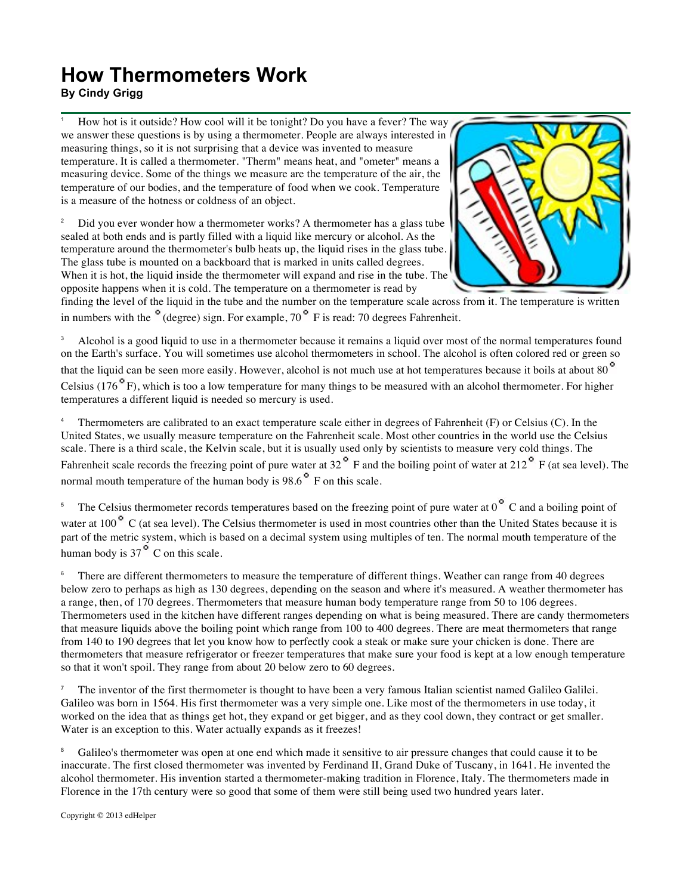## **How Thermometers Work By Cindy Grigg**

<sup>1</sup> How hot is it outside? How cool will it be tonight? Do you have a fever? The way we answer these questions is by using a thermometer. People are always interested in measuring things, so it is not surprising that a device was invented to measure temperature. It is called a thermometer. "Therm" means heat, and "ometer" means a measuring device. Some of the things we measure are the temperature of the air, the temperature of our bodies, and the temperature of food when we cook. Temperature is a measure of the hotness or coldness of an object.

<sup>2</sup> Did you ever wonder how a thermometer works? A thermometer has a glass tube sealed at both ends and is partly filled with a liquid like mercury or alcohol. As the temperature around the thermometer's bulb heats up, the liquid rises in the glass tube. The glass tube is mounted on a backboard that is marked in units called degrees. When it is hot, the liquid inside the thermometer will expand and rise in the tube. The opposite happens when it is cold. The temperature on a thermometer is read by



finding the level of the liquid in the tube and the number on the temperature scale across from it. The temperature is written in numbers with the  $\degree$  (degree) sign. For example, 70  $\degree$  F is read: 70 degrees Fahrenheit.

<sup>3</sup> Alcohol is a good liquid to use in a thermometer because it remains a liquid over most of the normal temperatures found on the Earth's surface. You will sometimes use alcohol thermometers in school. The alcohol is often colored red or green so that the liquid can be seen more easily. However, alcohol is not much use at hot temperatures because it boils at about 80<sup>°</sup> Celsius (176 $\degree$ F), which is too a low temperature for many things to be measured with an alcohol thermometer. For higher temperatures a different liquid is needed so mercury is used.

<sup>4</sup> Thermometers are calibrated to an exact temperature scale either in degrees of Fahrenheit (F) or Celsius (C). In the United States, we usually measure temperature on the Fahrenheit scale. Most other countries in the world use the Celsius scale. There is a third scale, the Kelvin scale, but it is usually used only by scientists to measure very cold things. The Fahrenheit scale records the freezing point of pure water at  $32^\circ$  F and the boiling point of water at  $212^\circ$  F (at sea level). The normal mouth temperature of the human body is  $98.6^{\circ}$  F on this scale.

<sup>5</sup> The Celsius thermometer records temperatures based on the freezing point of pure water at  $0^\circ$  C and a boiling point of water at 100<sup>°</sup> C (at sea level). The Celsius thermometer is used in most countries other than the United States because it is part of the metric system, which is based on a decimal system using multiples of ten. The normal mouth temperature of the human body is  $37^\circ$  C on this scale.

<sup>6</sup> There are different thermometers to measure the temperature of different things. Weather can range from 40 degrees below zero to perhaps as high as 130 degrees, depending on the season and where it's measured. A weather thermometer has a range, then, of 170 degrees. Thermometers that measure human body temperature range from 50 to 106 degrees. Thermometers used in the kitchen have different ranges depending on what is being measured. There are candy thermometers that measure liquids above the boiling point which range from 100 to 400 degrees. There are meat thermometers that range from 140 to 190 degrees that let you know how to perfectly cook a steak or make sure your chicken is done. There are thermometers that measure refrigerator or freezer temperatures that make sure your food is kept at a low enough temperature so that it won't spoil. They range from about 20 below zero to 60 degrees.

<sup>7</sup> The inventor of the first thermometer is thought to have been a very famous Italian scientist named Galileo Galilei. Galileo was born in 1564. His first thermometer was a very simple one. Like most of the thermometers in use today, it worked on the idea that as things get hot, they expand or get bigger, and as they cool down, they contract or get smaller. Water is an exception to this. Water actually expands as it freezes!

<sup>8</sup> Galileo's thermometer was open at one end which made it sensitive to air pressure changes that could cause it to be inaccurate. The first closed thermometer was invented by Ferdinand II, Grand Duke of Tuscany, in 1641. He invented the alcohol thermometer. His invention started a thermometer-making tradition in Florence, Italy. The thermometers made in Florence in the 17th century were so good that some of them were still being used two hundred years later.